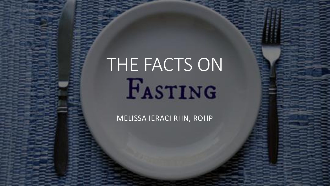# THE FACTS ON

#### MELISSA IERACI RHN, ROHP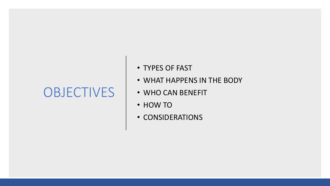#### **OBJECTIVES**

- TYPES OF FAST
- WHAT HAPPENS IN THE BODY
- WHO CAN BENEFIT
- HOW TO
- CONSIDERATIONS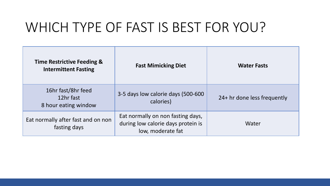## WHICH TYPE OF FAST IS BEST FOR YOU?

| <b>Time Restrictive Feeding &amp;</b><br><b>Intermittent Fasting</b> | <b>Fast Mimicking Diet</b>                                                                   | <b>Water Fasts</b>          |
|----------------------------------------------------------------------|----------------------------------------------------------------------------------------------|-----------------------------|
| 16hr fast/8hr feed<br>12hr fast<br>8 hour eating window              | 3-5 days low calorie days (500-600<br>calories)                                              | 24+ hr done less frequently |
| Eat normally after fast and on non<br>fasting days                   | Eat normally on non fasting days,<br>during low calorie days protein is<br>low, moderate fat | Water                       |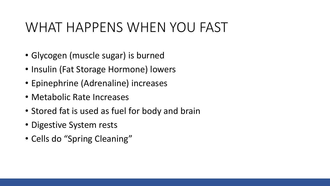## WHAT HAPPENS WHEN YOU FAST

- Glycogen (muscle sugar) is burned
- Insulin (Fat Storage Hormone) lowers
- Epinephrine (Adrenaline) increases
- Metabolic Rate Increases
- Stored fat is used as fuel for body and brain
- Digestive System rests
- Cells do "Spring Cleaning"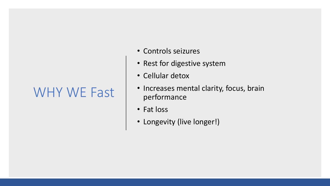#### WHY WE Fast

- Controls seizures
- Rest for digestive system
- Cellular detox
- Increases mental clarity, focus, brain performance
- Fat loss
- Longevity (live longer!)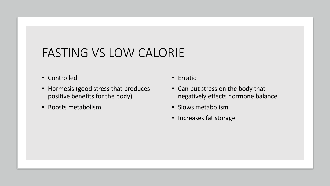#### FASTING VS LOW CALORIE

- Controlled
- Hormesis (good stress that produces positive benefits for the body)
- Boosts metabolism
- Erratic
- Can put stress on the body that negatively effects hormone balance
- Slows metabolism
- Increases fat storage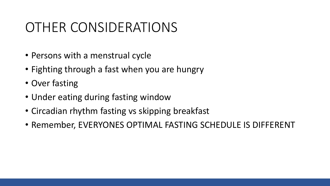### OTHER CONSIDERATIONS

- Persons with a menstrual cycle
- Fighting through a fast when you are hungry
- Over fasting
- Under eating during fasting window
- Circadian rhythm fasting vs skipping breakfast
- Remember, EVERYONES OPTIMAL FASTING SCHEDULE IS DIFFERENT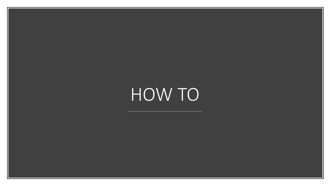## HOW TO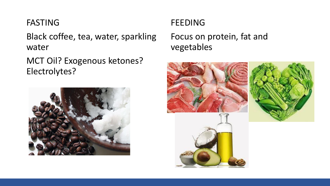#### FASTING

Black coffee, tea, water, sparkling water

MCT Oil? Exogenous ketones? Electrolytes?



#### **FEEDING**

Focus on protein, fat and vegetables